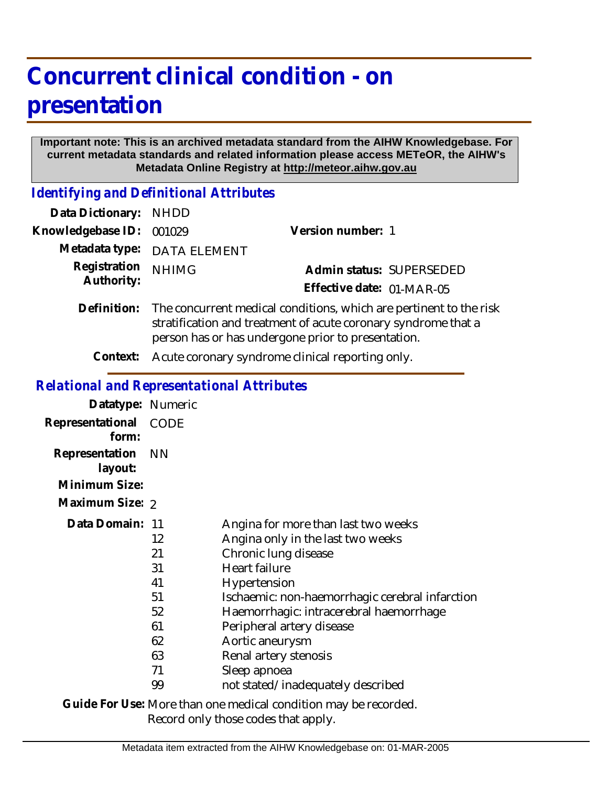# **Concurrent clinical condition - on presentation**

#### **Important note: This is an archived metadata standard from the AIHW Knowledgebase. For current metadata standards and related information please access METeOR, the AIHW's Metadata Online Registry at http://meteor.aihw.gov.au**

*Identifying and Definitional Attributes*

| Data Dictionary: NHDD      |                                                                                                                                                                                                        |                           |  |
|----------------------------|--------------------------------------------------------------------------------------------------------------------------------------------------------------------------------------------------------|---------------------------|--|
| Knowledgebase ID:          | 001029                                                                                                                                                                                                 | Version number: 1         |  |
|                            | Metadata type: DATA ELEMENT                                                                                                                                                                            |                           |  |
| Registration<br>Authority: | <b>NHIMG</b>                                                                                                                                                                                           | Admin status: SUPERSEDED  |  |
|                            |                                                                                                                                                                                                        | Effective date: 01-MAR-05 |  |
|                            | Definition: The concurrent medical conditions, which are pertinent to the risk<br>stratification and treatment of acute coronary syndrome that a<br>person has or has undergone prior to presentation. |                           |  |
|                            |                                                                                                                                                                                                        |                           |  |

**Context:** Acute coronary syndrome clinical reporting only.

## *Relational and Representational Attributes*

| Datatype: Numeric         |           |                                                 |
|---------------------------|-----------|-------------------------------------------------|
| Representational<br>form: | CODE      |                                                 |
| Representation<br>layout: | <b>NN</b> |                                                 |
| Minimum Size:             |           |                                                 |
| Maximum Size: 2           |           |                                                 |
| Data Domain: 11           |           | Angina for more than last two weeks             |
|                           | 12        | Angina only in the last two weeks               |
|                           | 21        | Chronic lung disease                            |
|                           | 31        | Heart failure                                   |
|                           | 41        | Hypertension                                    |
|                           | 51        | Ischaemic: non-haemorrhagic cerebral infarction |
|                           | 52        | Haemorrhagic: intracerebral haemorrhage         |
|                           | 61        | Peripheral artery disease                       |
|                           | 62        | Aortic aneurysm                                 |
|                           | 63        | Renal artery stenosis                           |
|                           | 71        | Sleep apnoea                                    |
|                           | 99        | not stated/inadequately described               |

Guide For Use: More than one medical condition may be recorded. Record only those codes that apply.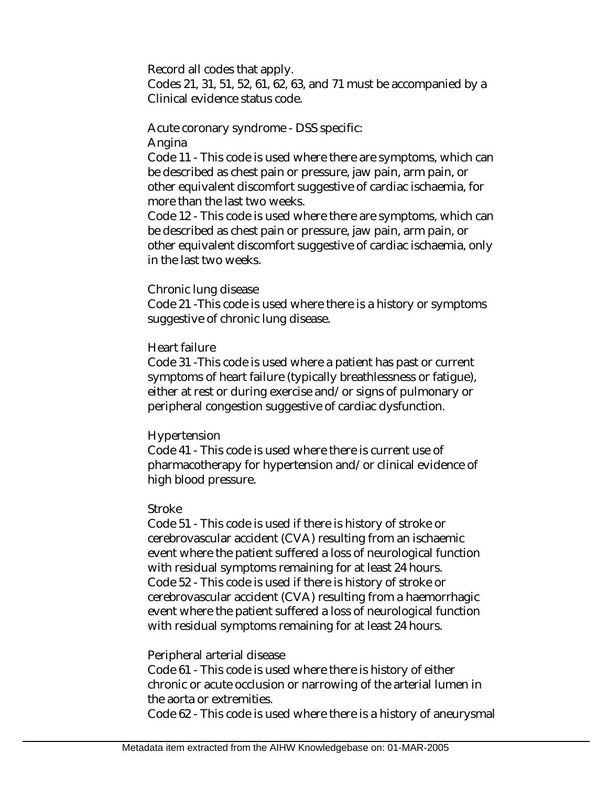Record all codes that apply.

Codes 21, 31, 51, 52, 61, 62, 63, and 71 must be accompanied by a Clinical evidence status code.

Acute coronary syndrome - DSS specific:

Angina

Code 11 - This code is used where there are symptoms, which can be described as chest pain or pressure, jaw pain, arm pain, or other equivalent discomfort suggestive of cardiac ischaemia, for more than the last two weeks.

Code 12 - This code is used where there are symptoms, which can be described as chest pain or pressure, jaw pain, arm pain, or other equivalent discomfort suggestive of cardiac ischaemia, only in the last two weeks.

#### Chronic lung disease

Code 21 -This code is used where there is a history or symptoms suggestive of chronic lung disease.

#### Heart failure

Code 31 -This code is used where a patient has past or current symptoms of heart failure (typically breathlessness or fatigue), either at rest or during exercise and/or signs of pulmonary or peripheral congestion suggestive of cardiac dysfunction.

#### Hypertension

Code 41 - This code is used where there is current use of pharmacotherapy for hypertension and/or clinical evidence of high blood pressure.

### Stroke

Code 51 - This code is used if there is history of stroke or cerebrovascular accident (CVA) resulting from an ischaemic event where the patient suffered a loss of neurological function with residual symptoms remaining for at least 24 hours. Code 52 - This code is used if there is history of stroke or cerebrovascular accident (CVA) resulting from a haemorrhagic event where the patient suffered a loss of neurological function with residual symptoms remaining for at least 24 hours.

#### Peripheral arterial disease

Code 61 - This code is used where there is history of either chronic or acute occlusion or narrowing of the arterial lumen in the aorta or extremities.

Code 62 - This code is used where there is a history of aneurysmal